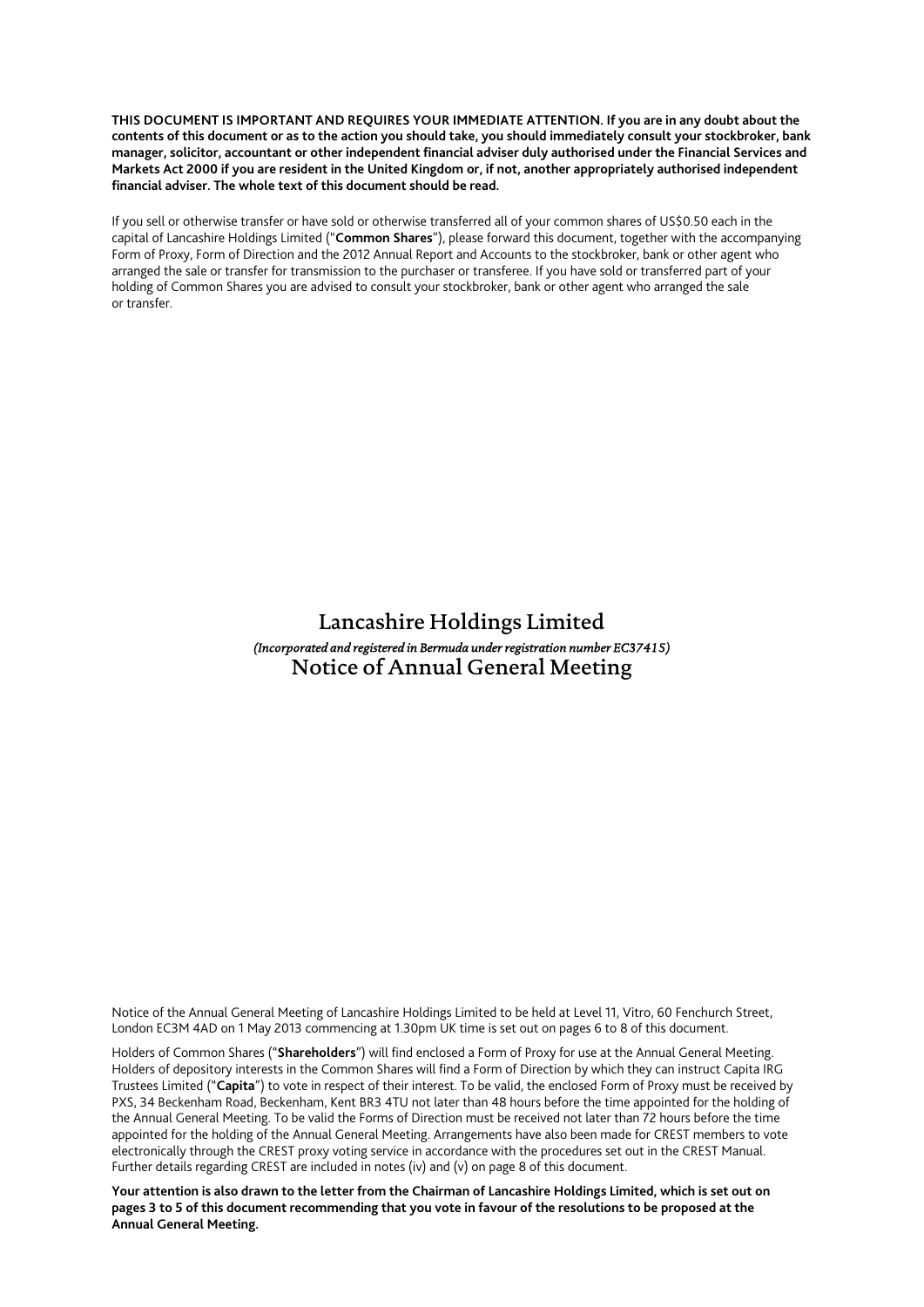**THIS DOCUMENT IS IMPORTANT AND REQUIRES YOUR IMMEDIATE ATTENTION. If you are in any doubt about the contents of this document or as to the action you should take, you should immediately consult your stockbroker, bank manager, solicitor, accountant or other independent financial adviser duly authorised under the Financial Services and Markets Act 2000 if you are resident in the United Kingdom or, if not, another appropriately authorised independent financial adviser. The whole text of this document should be read.** 

If you sell or otherwise transfer or have sold or otherwise transferred all of your common shares of US\$0.50 each in the capital of Lancashire Holdings Limited ("**Common Shares**"), please forward this document, together with the accompanying Form of Proxy, Form of Direction and the 2012 Annual Report and Accounts to the stockbroker, bank or other agent who arranged the sale or transfer for transmission to the purchaser or transferee. If you have sold or transferred part of your holding of Common Shares you are advised to consult your stockbroker, bank or other agent who arranged the sale or transfer.

# Lancashire Holdings Limited *(Incorporated and registered in Bermuda under registration number EC37415)*  Notice of Annual General Meeting

Notice of the Annual General Meeting of Lancashire Holdings Limited to be held at Level 11, Vitro, 60 Fenchurch Street, London EC3M 4AD on 1 May 2013 commencing at 1.30pm UK time is set out on pages 6 to 8 of this document.

Holders of Common Shares ("**Shareholders**") will find enclosed a Form of Proxy for use at the Annual General Meeting. Holders of depository interests in the Common Shares will find a Form of Direction by which they can instruct Capita IRG Trustees Limited ("**Capita**") to vote in respect of their interest. To be valid, the enclosed Form of Proxy must be received by PXS, 34 Beckenham Road, Beckenham, Kent BR3 4TU not later than 48 hours before the time appointed for the holding of the Annual General Meeting. To be valid the Forms of Direction must be received not later than 72 hours before the time appointed for the holding of the Annual General Meeting. Arrangements have also been made for CREST members to vote electronically through the CREST proxy voting service in accordance with the procedures set out in the CREST Manual. Further details regarding CREST are included in notes (iv) and (v) on page 8 of this document.

**Your attention is also drawn to the letter from the Chairman of Lancashire Holdings Limited, which is set out on pages 3 to 5 of this document recommending that you vote in favour of the resolutions to be proposed at the Annual General Meeting.**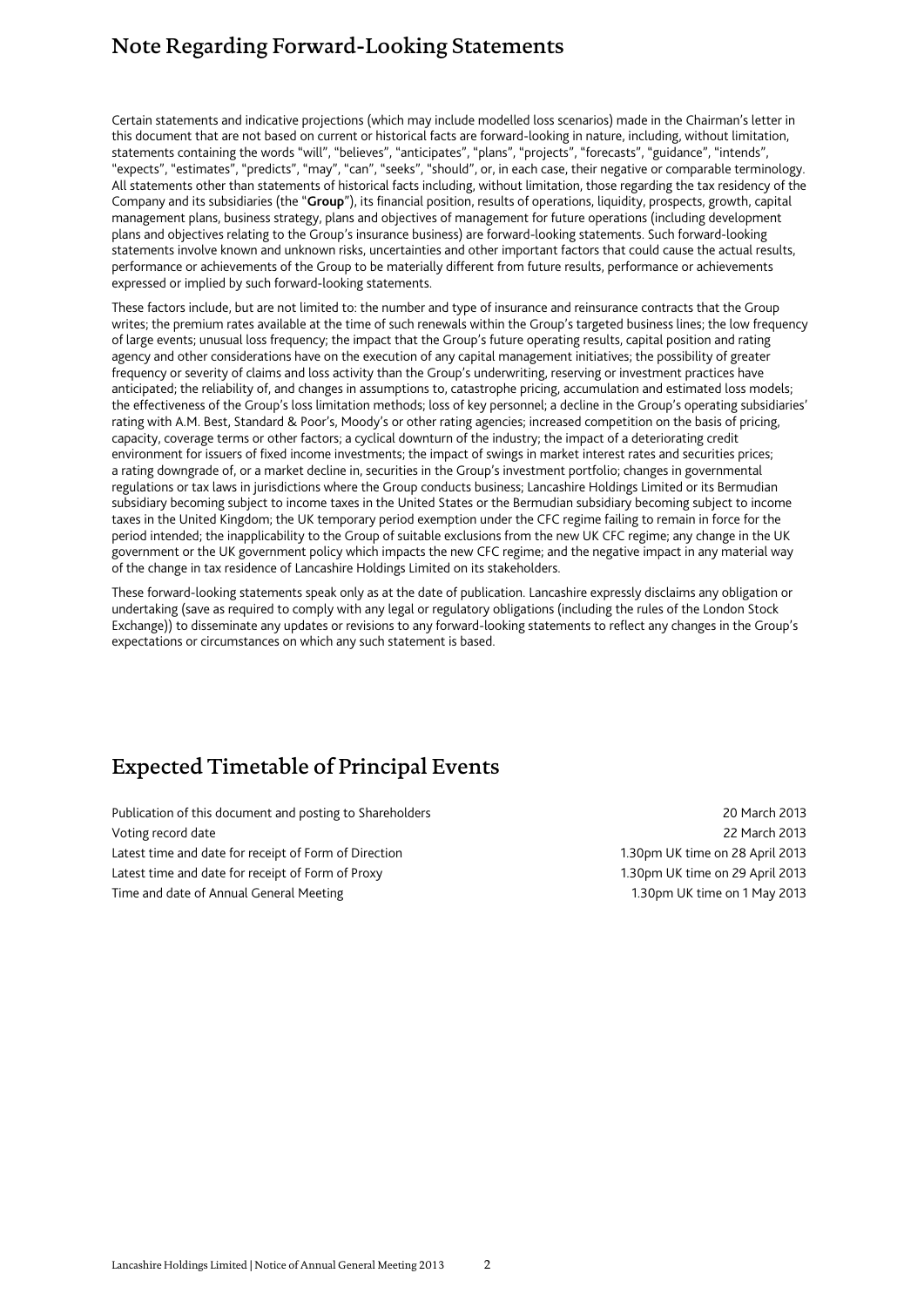# Note Regarding Forward-Looking Statements

Certain statements and indicative projections (which may include modelled loss scenarios) made in the Chairman's letter in this document that are not based on current or historical facts are forward-looking in nature, including, without limitation, statements containing the words "will", "believes", "anticipates", "plans", "projects", "forecasts", "guidance", "intends", "expects", "estimates", "predicts", "may", "can", "seeks", "should", or, in each case, their negative or comparable terminology. All statements other than statements of historical facts including, without limitation, those regarding the tax residency of the Company and its subsidiaries (the "**Group**"), its financial position, results of operations, liquidity, prospects, growth, capital management plans, business strategy, plans and objectives of management for future operations (including development plans and objectives relating to the Group's insurance business) are forward-looking statements. Such forward-looking statements involve known and unknown risks, uncertainties and other important factors that could cause the actual results, performance or achievements of the Group to be materially different from future results, performance or achievements expressed or implied by such forward-looking statements.

These factors include, but are not limited to: the number and type of insurance and reinsurance contracts that the Group writes; the premium rates available at the time of such renewals within the Group's targeted business lines; the low frequency of large events; unusual loss frequency; the impact that the Group's future operating results, capital position and rating agency and other considerations have on the execution of any capital management initiatives; the possibility of greater frequency or severity of claims and loss activity than the Group's underwriting, reserving or investment practices have anticipated; the reliability of, and changes in assumptions to, catastrophe pricing, accumulation and estimated loss models; the effectiveness of the Group's loss limitation methods; loss of key personnel; a decline in the Group's operating subsidiaries' rating with A.M. Best, Standard & Poor's, Moody's or other rating agencies; increased competition on the basis of pricing, capacity, coverage terms or other factors; a cyclical downturn of the industry; the impact of a deteriorating credit environment for issuers of fixed income investments; the impact of swings in market interest rates and securities prices; a rating downgrade of, or a market decline in, securities in the Group's investment portfolio; changes in governmental regulations or tax laws in jurisdictions where the Group conducts business; Lancashire Holdings Limited or its Bermudian subsidiary becoming subject to income taxes in the United States or the Bermudian subsidiary becoming subject to income taxes in the United Kingdom; the UK temporary period exemption under the CFC regime failing to remain in force for the period intended; the inapplicability to the Group of suitable exclusions from the new UK CFC regime; any change in the UK government or the UK government policy which impacts the new CFC regime; and the negative impact in any material way of the change in tax residence of Lancashire Holdings Limited on its stakeholders.

These forward-looking statements speak only as at the date of publication. Lancashire expressly disclaims any obligation or undertaking (save as required to comply with any legal or regulatory obligations (including the rules of the London Stock Exchange)) to disseminate any updates or revisions to any forward-looking statements to reflect any changes in the Group's expectations or circumstances on which any such statement is based.

# Expected Timetable of Principal Events

Publication of this document and posting to Shareholders 20 March 2013 Voting record date 22 March 2013 Latest time and date for receipt of Form of Direction 1.30pm UK time on 28 April 2013 Latest time and date for receipt of Form of Proxy 1.30pm UK time on 29 April 2013 Time and date of Annual General Meeting 1.30pm UK time on 1 May 2013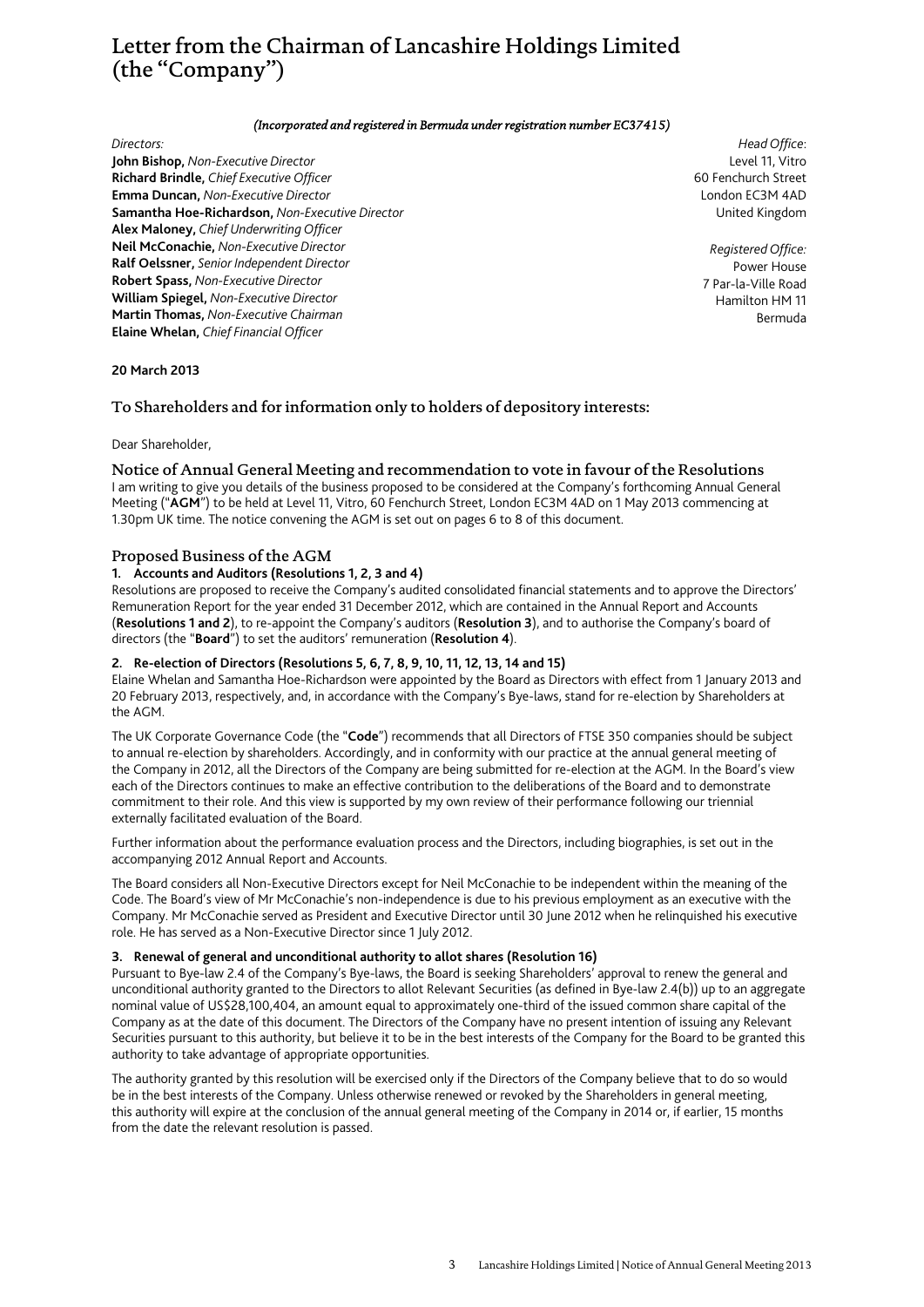# Letter from the Chairman of Lancashire Holdings Limited (the "Company")

### *(Incorporated and registered in Bermuda under registration number EC37415)*

*Directors:*

**John Bishop,** *Non-Executive Director* **Richard Brindle,** *Chief Executive Officer* **Emma Duncan,** *Non-Executive Director* **Samantha Hoe-Richardson,** *Non-Executive Director* **Alex Maloney,** *Chief Underwriting Officer* **Neil McConachie,** *Non-Executive Director* **Ralf Oelssner,** *Senior Independent Director* **Robert Spass,** *Non-Executive Director* **William Spiegel,** *Non-Executive Director* **Martin Thomas,** *Non-Executive Chairman*  **Elaine Whelan,** *Chief Financial Officer*

*Head Office*: Level 11, Vitro 60 Fenchurch Street London EC3M 4AD United Kingdom

*Registered Office:* Power House 7 Par-la-Ville Road Hamilton HM 11 Bermuda

### **20 March 2013**

## To Shareholders and for information only to holders of depository interests:

Dear Shareholder,

### Notice of Annual General Meeting and recommendation to vote in favour of the Resolutions

I am writing to give you details of the business proposed to be considered at the Company's forthcoming Annual General Meeting ("**AGM**") to be held at Level 11, Vitro, 60 Fenchurch Street, London EC3M 4AD on 1 May 2013 commencing at 1.30pm UK time. The notice convening the AGM is set out on pages 6 to 8 of this document.

### Proposed Business of the AGM

#### **1. Accounts and Auditors (Resolutions 1, 2, 3 and 4)**

Resolutions are proposed to receive the Company's audited consolidated financial statements and to approve the Directors' Remuneration Report for the year ended 31 December 2012, which are contained in the Annual Report and Accounts (**Resolutions 1 and 2**), to re-appoint the Company's auditors (**Resolution 3**), and to authorise the Company's board of directors (the "**Board**") to set the auditors' remuneration (**Resolution 4**).

### **2. Re-election of Directors (Resolutions 5, 6, 7, 8, 9, 10, 11, 12, 13, 14 and 15)**

Elaine Whelan and Samantha Hoe-Richardson were appointed by the Board as Directors with effect from 1 January 2013 and 20 February 2013, respectively, and, in accordance with the Company's Bye-laws, stand for re-election by Shareholders at the AGM.

The UK Corporate Governance Code (the "**Code**") recommends that all Directors of FTSE 350 companies should be subject to annual re-election by shareholders. Accordingly, and in conformity with our practice at the annual general meeting of the Company in 2012, all the Directors of the Company are being submitted for re-election at the AGM. In the Board's view each of the Directors continues to make an effective contribution to the deliberations of the Board and to demonstrate commitment to their role. And this view is supported by my own review of their performance following our triennial externally facilitated evaluation of the Board.

Further information about the performance evaluation process and the Directors, including biographies, is set out in the accompanying 2012 Annual Report and Accounts.

The Board considers all Non-Executive Directors except for Neil McConachie to be independent within the meaning of the Code. The Board's view of Mr McConachie's non-independence is due to his previous employment as an executive with the Company. Mr McConachie served as President and Executive Director until 30 June 2012 when he relinquished his executive role. He has served as a Non-Executive Director since 1 July 2012.

#### **3. Renewal of general and unconditional authority to allot shares (Resolution 16)**

Pursuant to Bye-law 2.4 of the Company's Bye-laws, the Board is seeking Shareholders' approval to renew the general and unconditional authority granted to the Directors to allot Relevant Securities (as defined in Bye-law 2.4(b)) up to an aggregate nominal value of US\$28,100,404, an amount equal to approximately one-third of the issued common share capital of the Company as at the date of this document. The Directors of the Company have no present intention of issuing any Relevant Securities pursuant to this authority, but believe it to be in the best interests of the Company for the Board to be granted this authority to take advantage of appropriate opportunities.

The authority granted by this resolution will be exercised only if the Directors of the Company believe that to do so would be in the best interests of the Company. Unless otherwise renewed or revoked by the Shareholders in general meeting, this authority will expire at the conclusion of the annual general meeting of the Company in 2014 or, if earlier, 15 months from the date the relevant resolution is passed.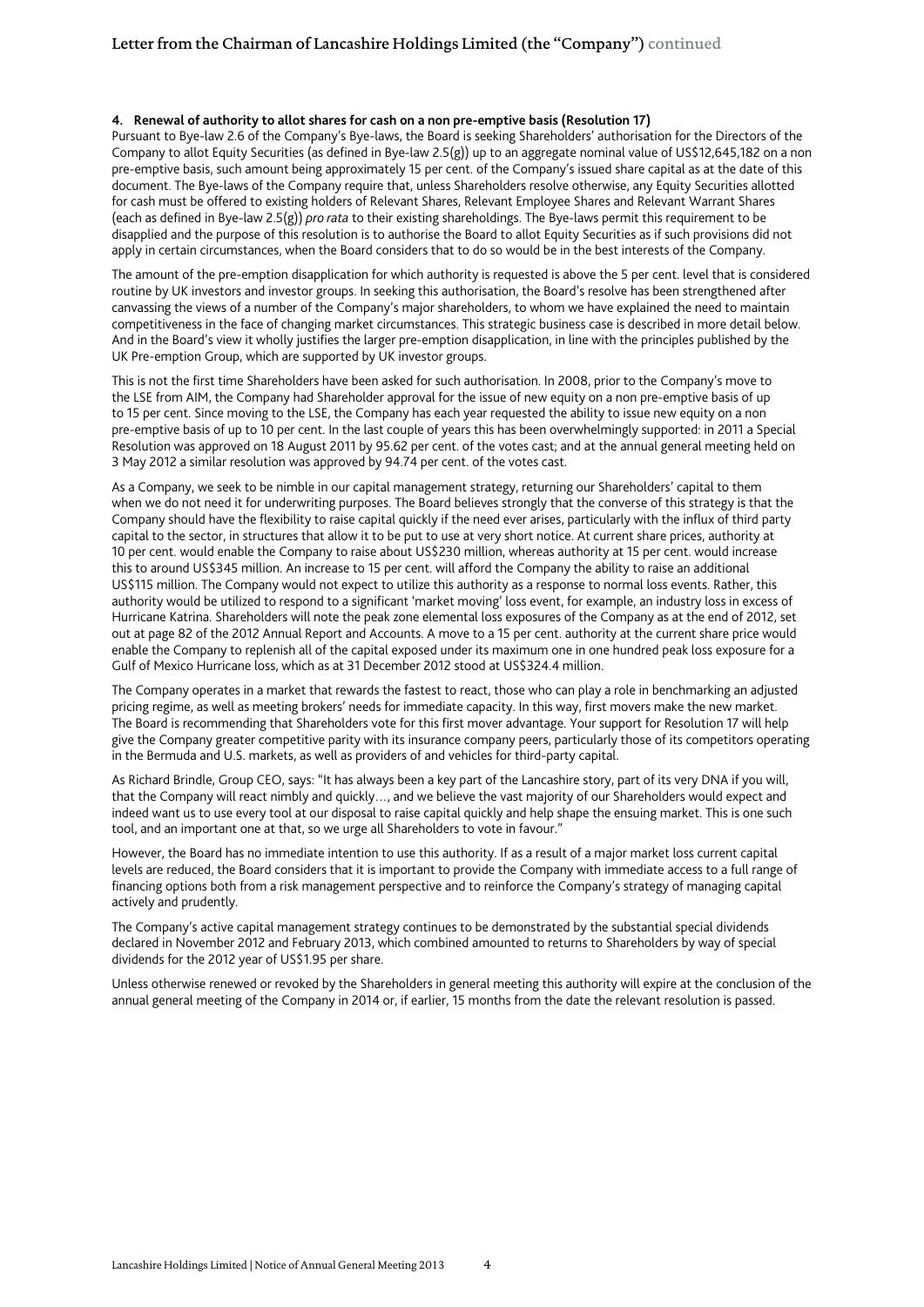### **4. Renewal of authority to allot shares for cash on a non pre-emptive basis (Resolution 17)**

Pursuant to Bye-law 2.6 of the Company's Bye-laws, the Board is seeking Shareholders' authorisation for the Directors of the Company to allot Equity Securities (as defined in Bye-law 2.5(g)) up to an aggregate nominal value of US\$12,645,182 on a non pre-emptive basis, such amount being approximately 15 per cent. of the Company's issued share capital as at the date of this document. The Bye-laws of the Company require that, unless Shareholders resolve otherwise, any Equity Securities allotted for cash must be offered to existing holders of Relevant Shares, Relevant Employee Shares and Relevant Warrant Shares (each as defined in Bye-law 2.5(g)) *pro rata* to their existing shareholdings. The Bye-laws permit this requirement to be disapplied and the purpose of this resolution is to authorise the Board to allot Equity Securities as if such provisions did not apply in certain circumstances, when the Board considers that to do so would be in the best interests of the Company.

The amount of the pre-emption disapplication for which authority is requested is above the 5 per cent. level that is considered routine by UK investors and investor groups. In seeking this authorisation, the Board's resolve has been strengthened after canvassing the views of a number of the Company's major shareholders, to whom we have explained the need to maintain competitiveness in the face of changing market circumstances. This strategic business case is described in more detail below. And in the Board's view it wholly justifies the larger pre-emption disapplication, in line with the principles published by the UK Pre-emption Group, which are supported by UK investor groups.

This is not the first time Shareholders have been asked for such authorisation. In 2008, prior to the Company's move to the LSE from AIM, the Company had Shareholder approval for the issue of new equity on a non pre-emptive basis of up to 15 per cent. Since moving to the LSE, the Company has each year requested the ability to issue new equity on a non pre-emptive basis of up to 10 per cent. In the last couple of years this has been overwhelmingly supported: in 2011 a Special Resolution was approved on 18 August 2011 by 95.62 per cent. of the votes cast; and at the annual general meeting held on 3 May 2012 a similar resolution was approved by 94.74 per cent. of the votes cast.

As a Company, we seek to be nimble in our capital management strategy, returning our Shareholders' capital to them when we do not need it for underwriting purposes. The Board believes strongly that the converse of this strategy is that the Company should have the flexibility to raise capital quickly if the need ever arises, particularly with the influx of third party capital to the sector, in structures that allow it to be put to use at very short notice. At current share prices, authority at 10 per cent. would enable the Company to raise about US\$230 million, whereas authority at 15 per cent. would increase this to around US\$345 million. An increase to 15 per cent. will afford the Company the ability to raise an additional US\$115 million. The Company would not expect to utilize this authority as a response to normal loss events. Rather, this authority would be utilized to respond to a significant 'market moving' loss event, for example, an industry loss in excess of Hurricane Katrina. Shareholders will note the peak zone elemental loss exposures of the Company as at the end of 2012, set out at page 82 of the 2012 Annual Report and Accounts. A move to a 15 per cent. authority at the current share price would enable the Company to replenish all of the capital exposed under its maximum one in one hundred peak loss exposure for a Gulf of Mexico Hurricane loss, which as at 31 December 2012 stood at US\$324.4 million.

The Company operates in a market that rewards the fastest to react, those who can play a role in benchmarking an adjusted pricing regime, as well as meeting brokers' needs for immediate capacity. In this way, first movers make the new market. The Board is recommending that Shareholders vote for this first mover advantage. Your support for Resolution 17 will help give the Company greater competitive parity with its insurance company peers, particularly those of its competitors operating in the Bermuda and U.S. markets, as well as providers of and vehicles for third-party capital.

As Richard Brindle, Group CEO, says: "It has always been a key part of the Lancashire story, part of its very DNA if you will, that the Company will react nimbly and quickly…, and we believe the vast majority of our Shareholders would expect and indeed want us to use every tool at our disposal to raise capital quickly and help shape the ensuing market. This is one such tool, and an important one at that, so we urge all Shareholders to vote in favour."

However, the Board has no immediate intention to use this authority. If as a result of a major market loss current capital levels are reduced, the Board considers that it is important to provide the Company with immediate access to a full range of financing options both from a risk management perspective and to reinforce the Company's strategy of managing capital actively and prudently.

The Company's active capital management strategy continues to be demonstrated by the substantial special dividends declared in November 2012 and February 2013, which combined amounted to returns to Shareholders by way of special dividends for the 2012 year of US\$1.95 per share.

Unless otherwise renewed or revoked by the Shareholders in general meeting this authority will expire at the conclusion of the annual general meeting of the Company in 2014 or, if earlier, 15 months from the date the relevant resolution is passed.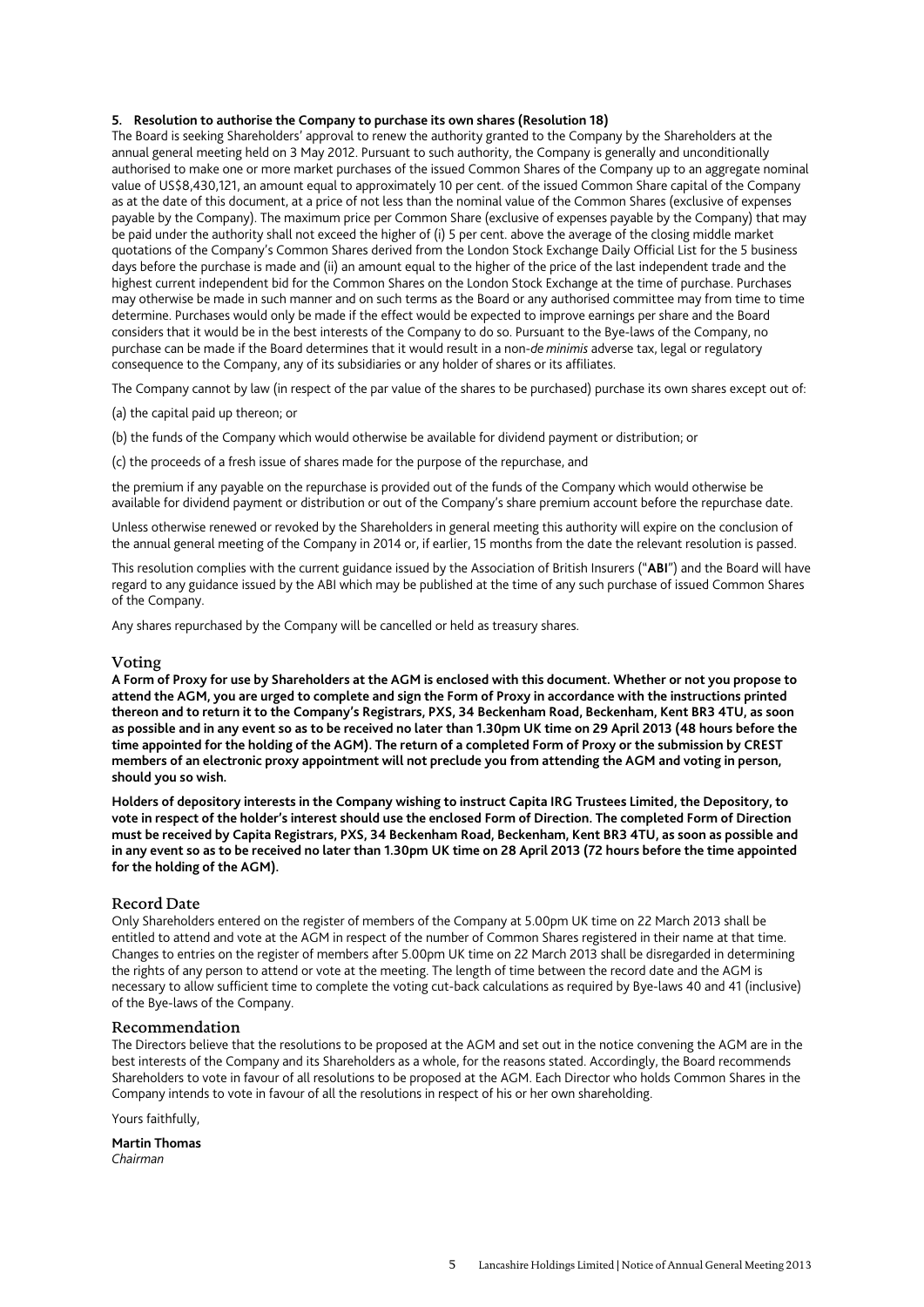### **5. Resolution to authorise the Company to purchase its own shares (Resolution 18)**

The Board is seeking Shareholders' approval to renew the authority granted to the Company by the Shareholders at the annual general meeting held on 3 May 2012. Pursuant to such authority, the Company is generally and unconditionally authorised to make one or more market purchases of the issued Common Shares of the Company up to an aggregate nominal value of US\$8,430,121, an amount equal to approximately 10 per cent. of the issued Common Share capital of the Company as at the date of this document, at a price of not less than the nominal value of the Common Shares (exclusive of expenses payable by the Company). The maximum price per Common Share (exclusive of expenses payable by the Company) that may be paid under the authority shall not exceed the higher of (i) 5 per cent. above the average of the closing middle market quotations of the Company's Common Shares derived from the London Stock Exchange Daily Official List for the 5 business days before the purchase is made and (ii) an amount equal to the higher of the price of the last independent trade and the highest current independent bid for the Common Shares on the London Stock Exchange at the time of purchase. Purchases may otherwise be made in such manner and on such terms as the Board or any authorised committee may from time to time determine. Purchases would only be made if the effect would be expected to improve earnings per share and the Board considers that it would be in the best interests of the Company to do so. Pursuant to the Bye-laws of the Company, no purchase can be made if the Board determines that it would result in a non-*de minimis* adverse tax, legal or regulatory consequence to the Company, any of its subsidiaries or any holder of shares or its affiliates.

The Company cannot by law (in respect of the par value of the shares to be purchased) purchase its own shares except out of:

(a) the capital paid up thereon; or

(b) the funds of the Company which would otherwise be available for dividend payment or distribution; or

(c) the proceeds of a fresh issue of shares made for the purpose of the repurchase, and

the premium if any payable on the repurchase is provided out of the funds of the Company which would otherwise be available for dividend payment or distribution or out of the Company's share premium account before the repurchase date.

Unless otherwise renewed or revoked by the Shareholders in general meeting this authority will expire on the conclusion of the annual general meeting of the Company in 2014 or, if earlier, 15 months from the date the relevant resolution is passed.

This resolution complies with the current guidance issued by the Association of British Insurers ("**ABI**") and the Board will have regard to any guidance issued by the ABI which may be published at the time of any such purchase of issued Common Shares of the Company.

Any shares repurchased by the Company will be cancelled or held as treasury shares.

#### Voting

**A Form of Proxy for use by Shareholders at the AGM is enclosed with this document. Whether or not you propose to attend the AGM, you are urged to complete and sign the Form of Proxy in accordance with the instructions printed thereon and to return it to the Company's Registrars, PXS, 34 Beckenham Road, Beckenham, Kent BR3 4TU, as soon as possible and in any event so as to be received no later than 1.30pm UK time on 29 April 2013 (48 hours before the time appointed for the holding of the AGM). The return of a completed Form of Proxy or the submission by CREST members of an electronic proxy appointment will not preclude you from attending the AGM and voting in person, should you so wish.** 

**Holders of depository interests in the Company wishing to instruct Capita IRG Trustees Limited, the Depository, to vote in respect of the holder's interest should use the enclosed Form of Direction. The completed Form of Direction must be received by Capita Registrars, PXS, 34 Beckenham Road, Beckenham, Kent BR3 4TU, as soon as possible and in any event so as to be received no later than 1.30pm UK time on 28 April 2013 (72 hours before the time appointed for the holding of the AGM).** 

#### Record Date

Only Shareholders entered on the register of members of the Company at 5.00pm UK time on 22 March 2013 shall be entitled to attend and vote at the AGM in respect of the number of Common Shares registered in their name at that time. Changes to entries on the register of members after 5.00pm UK time on 22 March 2013 shall be disregarded in determining the rights of any person to attend or vote at the meeting. The length of time between the record date and the AGM is necessary to allow sufficient time to complete the voting cut-back calculations as required by Bye-laws 40 and 41 (inclusive) of the Bye-laws of the Company.

#### Recommendation

The Directors believe that the resolutions to be proposed at the AGM and set out in the notice convening the AGM are in the best interests of the Company and its Shareholders as a whole, for the reasons stated. Accordingly, the Board recommends Shareholders to vote in favour of all resolutions to be proposed at the AGM. Each Director who holds Common Shares in the Company intends to vote in favour of all the resolutions in respect of his or her own shareholding.

Yours faithfully,

**Martin Thomas**  *Chairman*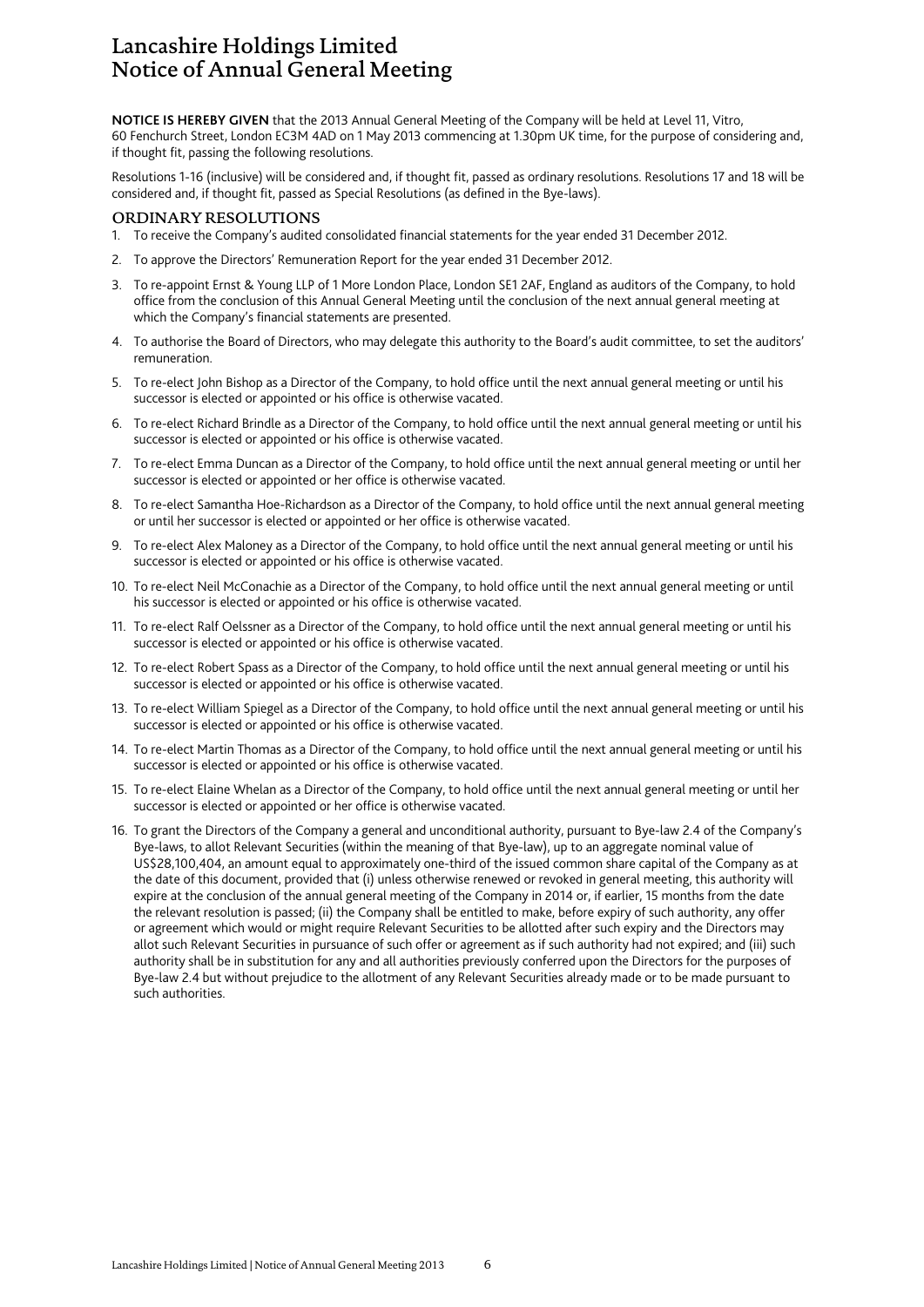# Lancashire Holdings Limited Notice of Annual General Meeting

**NOTICE IS HEREBY GIVEN** that the 2013 Annual General Meeting of the Company will be held at Level 11, Vitro, 60 Fenchurch Street, London EC3M 4AD on 1 May 2013 commencing at 1.30pm UK time, for the purpose of considering and, if thought fit, passing the following resolutions.

Resolutions 1-16 (inclusive) will be considered and, if thought fit, passed as ordinary resolutions. Resolutions 17 and 18 will be considered and, if thought fit, passed as Special Resolutions (as defined in the Bye-laws).

### ORDINARY RESOLUTIONS

- 1. To receive the Company's audited consolidated financial statements for the year ended 31 December 2012.
- 2. To approve the Directors' Remuneration Report for the year ended 31 December 2012.
- 3. To re-appoint Ernst & Young LLP of 1 More London Place, London SE1 2AF, England as auditors of the Company, to hold office from the conclusion of this Annual General Meeting until the conclusion of the next annual general meeting at which the Company's financial statements are presented.
- 4. To authorise the Board of Directors, who may delegate this authority to the Board's audit committee, to set the auditors' remuneration.
- 5. To re-elect John Bishop as a Director of the Company, to hold office until the next annual general meeting or until his successor is elected or appointed or his office is otherwise vacated.
- 6. To re-elect Richard Brindle as a Director of the Company, to hold office until the next annual general meeting or until his successor is elected or appointed or his office is otherwise vacated.
- 7. To re-elect Emma Duncan as a Director of the Company, to hold office until the next annual general meeting or until her successor is elected or appointed or her office is otherwise vacated.
- 8. To re-elect Samantha Hoe-Richardson as a Director of the Company, to hold office until the next annual general meeting or until her successor is elected or appointed or her office is otherwise vacated.
- 9. To re-elect Alex Maloney as a Director of the Company, to hold office until the next annual general meeting or until his successor is elected or appointed or his office is otherwise vacated.
- 10. To re-elect Neil McConachie as a Director of the Company, to hold office until the next annual general meeting or until his successor is elected or appointed or his office is otherwise vacated.
- 11. To re-elect Ralf Oelssner as a Director of the Company, to hold office until the next annual general meeting or until his successor is elected or appointed or his office is otherwise vacated.
- 12. To re-elect Robert Spass as a Director of the Company, to hold office until the next annual general meeting or until his successor is elected or appointed or his office is otherwise vacated.
- 13. To re-elect William Spiegel as a Director of the Company, to hold office until the next annual general meeting or until his successor is elected or appointed or his office is otherwise vacated.
- 14. To re-elect Martin Thomas as a Director of the Company, to hold office until the next annual general meeting or until his successor is elected or appointed or his office is otherwise vacated.
- 15. To re-elect Elaine Whelan as a Director of the Company, to hold office until the next annual general meeting or until her successor is elected or appointed or her office is otherwise vacated.
- 16. To grant the Directors of the Company a general and unconditional authority, pursuant to Bye-law 2.4 of the Company's Bye-laws, to allot Relevant Securities (within the meaning of that Bye-law), up to an aggregate nominal value of US\$28,100,404, an amount equal to approximately one-third of the issued common share capital of the Company as at the date of this document, provided that (i) unless otherwise renewed or revoked in general meeting, this authority will expire at the conclusion of the annual general meeting of the Company in 2014 or, if earlier, 15 months from the date the relevant resolution is passed; (ii) the Company shall be entitled to make, before expiry of such authority, any offer or agreement which would or might require Relevant Securities to be allotted after such expiry and the Directors may allot such Relevant Securities in pursuance of such offer or agreement as if such authority had not expired; and (iii) such authority shall be in substitution for any and all authorities previously conferred upon the Directors for the purposes of Bye-law 2.4 but without prejudice to the allotment of any Relevant Securities already made or to be made pursuant to such authorities.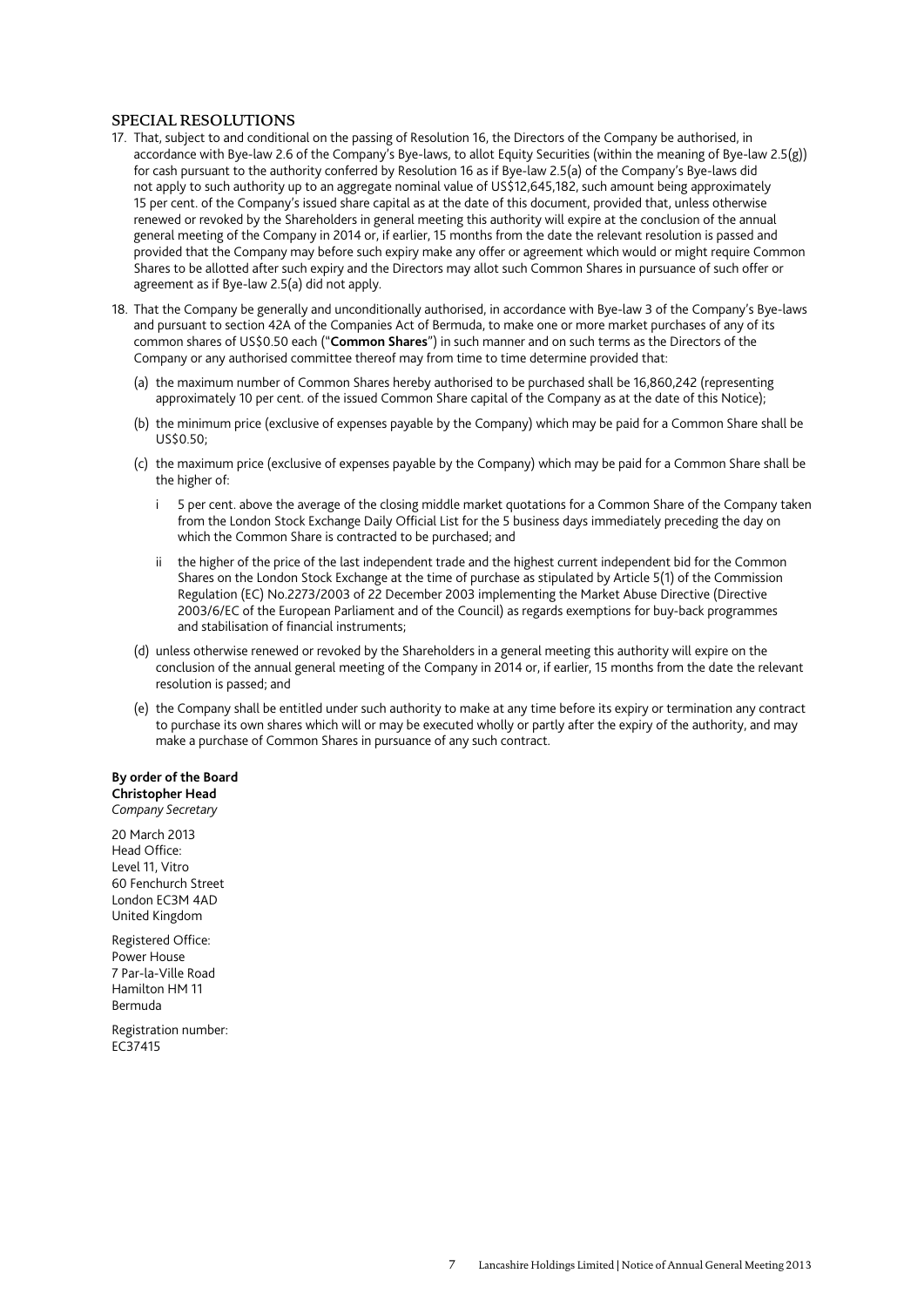### SPECIAL RESOLUTIONS

- 17. That, subject to and conditional on the passing of Resolution 16, the Directors of the Company be authorised, in accordance with Bye-law 2.6 of the Company's Bye-laws, to allot Equity Securities (within the meaning of Bye-law 2.5(g)) for cash pursuant to the authority conferred by Resolution 16 as if Bye-law 2.5(a) of the Company's Bye-laws did not apply to such authority up to an aggregate nominal value of US\$12,645,182, such amount being approximately 15 per cent. of the Company's issued share capital as at the date of this document, provided that, unless otherwise renewed or revoked by the Shareholders in general meeting this authority will expire at the conclusion of the annual general meeting of the Company in 2014 or, if earlier, 15 months from the date the relevant resolution is passed and provided that the Company may before such expiry make any offer or agreement which would or might require Common Shares to be allotted after such expiry and the Directors may allot such Common Shares in pursuance of such offer or agreement as if Bye-law 2.5(a) did not apply.
- 18. That the Company be generally and unconditionally authorised, in accordance with Bye-law 3 of the Company's Bye-laws and pursuant to section 42A of the Companies Act of Bermuda, to make one or more market purchases of any of its common shares of US\$0.50 each ("**Common Shares**") in such manner and on such terms as the Directors of the Company or any authorised committee thereof may from time to time determine provided that:
	- (a) the maximum number of Common Shares hereby authorised to be purchased shall be 16,860,242 (representing approximately 10 per cent. of the issued Common Share capital of the Company as at the date of this Notice);
	- (b) the minimum price (exclusive of expenses payable by the Company) which may be paid for a Common Share shall be US\$0.50;
	- (c) the maximum price (exclusive of expenses payable by the Company) which may be paid for a Common Share shall be the higher of:
		- i 5 per cent. above the average of the closing middle market quotations for a Common Share of the Company taken from the London Stock Exchange Daily Official List for the 5 business days immediately preceding the day on which the Common Share is contracted to be purchased; and
		- ii the higher of the price of the last independent trade and the highest current independent bid for the Common Shares on the London Stock Exchange at the time of purchase as stipulated by Article 5(1) of the Commission Regulation (EC) No.2273/2003 of 22 December 2003 implementing the Market Abuse Directive (Directive 2003/6/EC of the European Parliament and of the Council) as regards exemptions for buy-back programmes and stabilisation of financial instruments;
	- (d) unless otherwise renewed or revoked by the Shareholders in a general meeting this authority will expire on the conclusion of the annual general meeting of the Company in 2014 or, if earlier, 15 months from the date the relevant resolution is passed; and
	- (e) the Company shall be entitled under such authority to make at any time before its expiry or termination any contract to purchase its own shares which will or may be executed wholly or partly after the expiry of the authority, and may make a purchase of Common Shares in pursuance of any such contract.

### **By order of the Board Christopher Head**

*Company Secretary* 

20 March 2013 Head Office: Level 11, Vitro 60 Fenchurch Street London EC3M 4AD United Kingdom

Registered Office: Power House 7 Par-la-Ville Road Hamilton HM 11 Bermuda

Registration number: EC37415